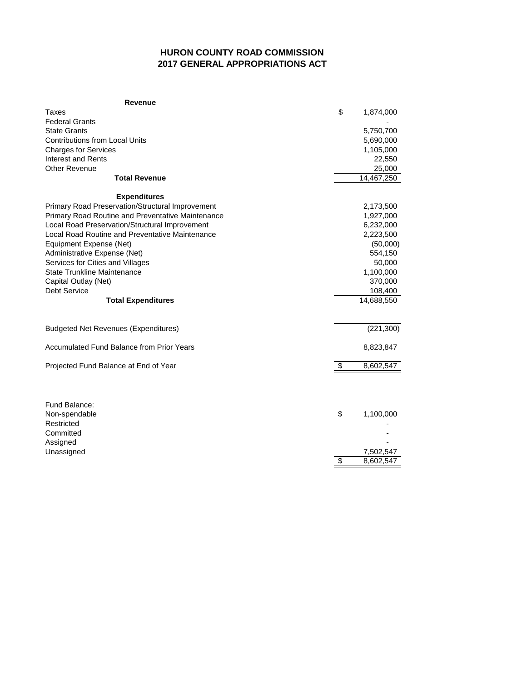## **HURON COUNTY ROAD COMMISSION 2017 GENERAL APPROPRIATIONS ACT**

# **Revenue**

| <b>Taxes</b>                                      | \$                        | 1,874,000  |
|---------------------------------------------------|---------------------------|------------|
| <b>Federal Grants</b>                             |                           |            |
| <b>State Grants</b>                               |                           | 5,750,700  |
| <b>Contributions from Local Units</b>             |                           | 5,690,000  |
| <b>Charges for Services</b>                       |                           | 1,105,000  |
| <b>Interest and Rents</b>                         |                           | 22,550     |
| <b>Other Revenue</b>                              |                           | 25,000     |
| <b>Total Revenue</b>                              |                           | 14,467,250 |
| <b>Expenditures</b>                               |                           |            |
| Primary Road Preservation/Structural Improvement  |                           | 2,173,500  |
| Primary Road Routine and Preventative Maintenance |                           | 1,927,000  |
| Local Road Preservation/Structural Improvement    |                           | 6,232,000  |
| Local Road Routine and Preventative Maintenance   |                           | 2,223,500  |
| <b>Equipment Expense (Net)</b>                    |                           | (50,000)   |
| Administrative Expense (Net)                      |                           | 554,150    |
| Services for Cities and Villages                  |                           | 50,000     |
| <b>State Trunkline Maintenance</b>                |                           | 1,100,000  |
| Capital Outlay (Net)                              |                           | 370,000    |
| <b>Debt Service</b>                               |                           | 108,400    |
| <b>Total Expenditures</b>                         |                           | 14,688,550 |
| <b>Budgeted Net Revenues (Expenditures)</b>       |                           | (221, 300) |
| <b>Accumulated Fund Balance from Prior Years</b>  |                           | 8,823,847  |
| Projected Fund Balance at End of Year             | $\boldsymbol{\mathsf{S}}$ | 8,602,547  |
|                                                   |                           |            |
|                                                   |                           |            |
| Fund Balance:                                     |                           |            |
| Non-spendable                                     | \$                        | 1,100,000  |
| Restricted                                        |                           |            |
| Committed                                         |                           |            |
| Assigned                                          |                           |            |
| Unassigned                                        |                           | 7,502,547  |
|                                                   | $\overline{\mathcal{S}}$  | 8,602,547  |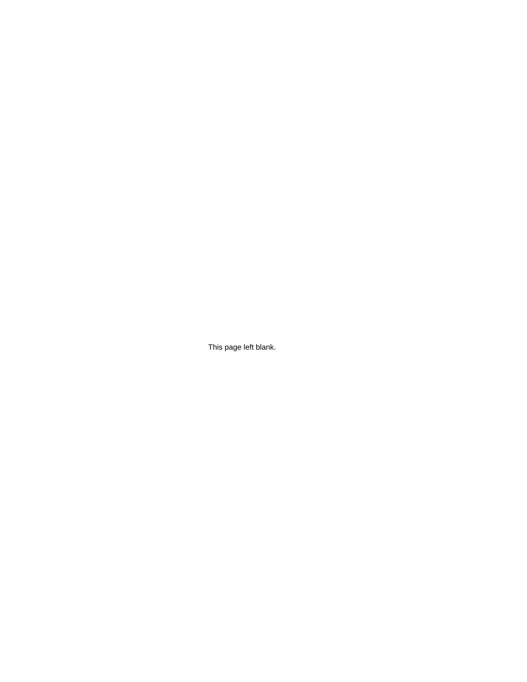This page left blank.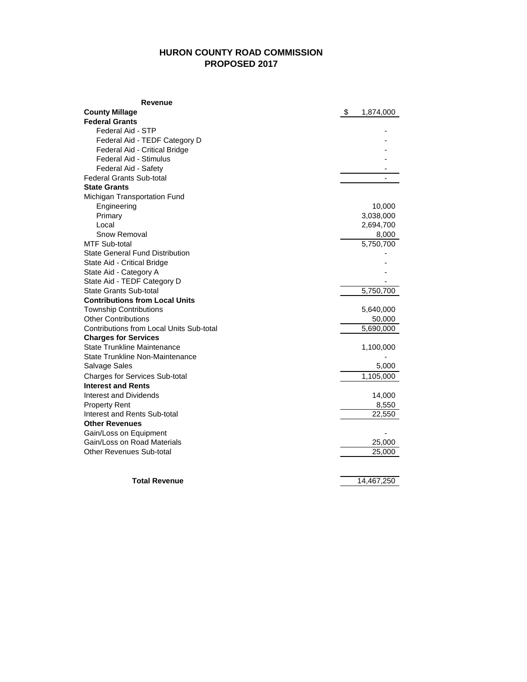### **HURON COUNTY ROAD COMMISSION PROPOSED 2017**

| Revenue                                  |                 |
|------------------------------------------|-----------------|
| <b>County Millage</b>                    | \$<br>1,874,000 |
| <b>Federal Grants</b>                    |                 |
| Federal Aid - STP                        |                 |
| Federal Aid - TEDF Category D            |                 |
| Federal Aid - Critical Bridge            |                 |
| Federal Aid - Stimulus                   |                 |
| Federal Aid - Safety                     |                 |
| Federal Grants Sub-total                 |                 |
| <b>State Grants</b>                      |                 |
| Michigan Transportation Fund             |                 |
| Engineering                              | 10,000          |
| Primary                                  | 3,038,000       |
| Local                                    | 2,694,700       |
| <b>Snow Removal</b>                      | 8,000           |
| <b>MTF Sub-total</b>                     | 5,750,700       |
| <b>State General Fund Distribution</b>   |                 |
| State Aid - Critical Bridge              |                 |
| State Aid - Category A                   |                 |
| State Aid - TEDF Category D              |                 |
| <b>State Grants Sub-total</b>            | 5,750,700       |
| <b>Contributions from Local Units</b>    |                 |
| <b>Township Contributions</b>            | 5,640,000       |
| <b>Other Contributions</b>               | 50,000          |
| Contributions from Local Units Sub-total | 5,690,000       |
| <b>Charges for Services</b>              |                 |
| <b>State Trunkline Maintenance</b>       | 1,100,000       |
| <b>State Trunkline Non-Maintenance</b>   |                 |
| Salvage Sales                            | 5,000           |
| <b>Charges for Services Sub-total</b>    | 1,105,000       |
| <b>Interest and Rents</b>                |                 |
| <b>Interest and Dividends</b>            | 14,000          |
| <b>Property Rent</b>                     | 8,550           |
| Interest and Rents Sub-total             | 22,550          |
| <b>Other Revenues</b>                    |                 |
| Gain/Loss on Equipment                   |                 |
| Gain/Loss on Road Materials              | 25,000          |
| <b>Other Revenues Sub-total</b>          | 25,000          |
|                                          |                 |
| <b>Total Revenue</b>                     | 14,467,250      |